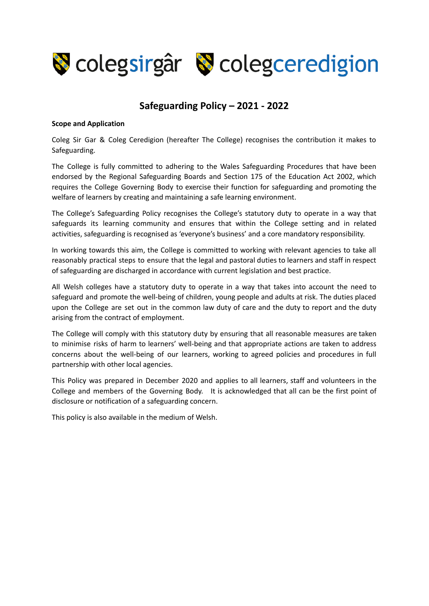

#### **Safeguarding Policy – 2021 - 2022**

#### **Scope and Application**

Coleg Sir Gar & Coleg Ceredigion (hereafter The College) recognises the contribution it makes to Safeguarding.

The College is fully committed to adhering to the Wales Safeguarding Procedures that have been endorsed by the Regional Safeguarding Boards and Section 175 of the Education Act 2002, which requires the College Governing Body to exercise their function for safeguarding and promoting the welfare of learners by creating and maintaining a safe learning environment.

The College's Safeguarding Policy recognises the College's statutory duty to operate in a way that safeguards its learning community and ensures that within the College setting and in related activities, safeguarding is recognised as 'everyone's business' and a core mandatory responsibility.

In working towards this aim, the College is committed to working with relevant agencies to take all reasonably practical steps to ensure that the legal and pastoral duties to learners and staff in respect of safeguarding are discharged in accordance with current legislation and best practice.

All Welsh colleges have a statutory duty to operate in a way that takes into account the need to safeguard and promote the well-being of children, young people and adults at risk. The duties placed upon the College are set out in the common law duty of care and the duty to report and the duty arising from the contract of employment.

The College will comply with this statutory duty by ensuring that all reasonable measures are taken to minimise risks of harm to learners' well-being and that appropriate actions are taken to address concerns about the well-being of our learners, working to agreed policies and procedures in full partnership with other local agencies.

This Policy was prepared in December 2020 and applies to all learners, staff and volunteers in the College and members of the Governing Body. It is acknowledged that all can be the first point of disclosure or notification of a safeguarding concern.

This policy is also available in the medium of Welsh.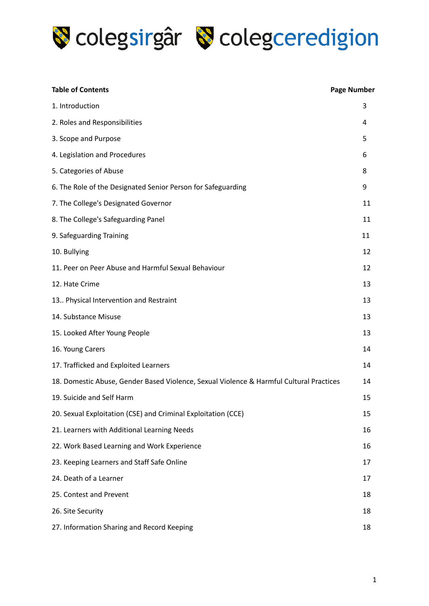

| <b>Table of Contents</b>                                                                | <b>Page Number</b> |
|-----------------------------------------------------------------------------------------|--------------------|
| 1. Introduction                                                                         | 3                  |
| 2. Roles and Responsibilities                                                           | 4                  |
| 3. Scope and Purpose                                                                    | 5                  |
| 4. Legislation and Procedures                                                           | 6                  |
| 5. Categories of Abuse                                                                  | 8                  |
| 6. The Role of the Designated Senior Person for Safeguarding                            | 9                  |
| 7. The College's Designated Governor                                                    | 11                 |
| 8. The College's Safeguarding Panel                                                     | 11                 |
| 9. Safeguarding Training                                                                | 11                 |
| 10. Bullying                                                                            | 12                 |
| 11. Peer on Peer Abuse and Harmful Sexual Behaviour                                     | 12                 |
| 12. Hate Crime                                                                          | 13                 |
| 13 Physical Intervention and Restraint                                                  | 13                 |
| 14. Substance Misuse                                                                    | 13                 |
| 15. Looked After Young People                                                           | 13                 |
| 16. Young Carers                                                                        | 14                 |
| 17. Trafficked and Exploited Learners                                                   | 14                 |
| 18. Domestic Abuse, Gender Based Violence, Sexual Violence & Harmful Cultural Practices | 14                 |
| 19. Suicide and Self Harm                                                               | 15                 |
| 20. Sexual Exploitation (CSE) and Criminal Exploitation (CCE)                           | 15                 |
| 21. Learners with Additional Learning Needs                                             | 16                 |
| 22. Work Based Learning and Work Experience                                             | 16                 |
| 23. Keeping Learners and Staff Safe Online                                              | 17                 |
| 24. Death of a Learner                                                                  | 17                 |
| 25. Contest and Prevent                                                                 | 18                 |
| 26. Site Security                                                                       | 18                 |
| 27. Information Sharing and Record Keeping                                              | 18                 |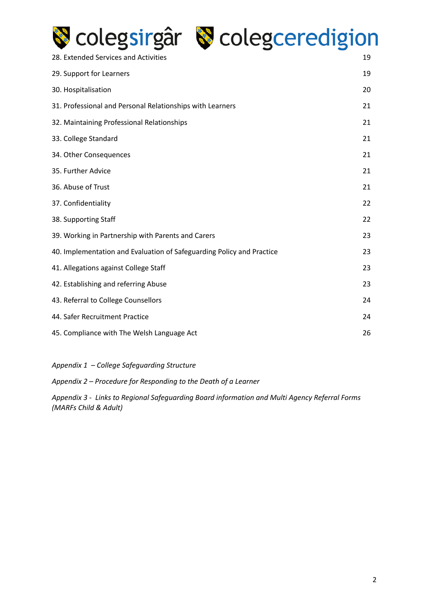

## Colegsirgâr & colegceredigion

| 28. Extended Services and Activities                                  | 19 |
|-----------------------------------------------------------------------|----|
| 29. Support for Learners                                              | 19 |
| 30. Hospitalisation                                                   | 20 |
| 31. Professional and Personal Relationships with Learners             | 21 |
| 32. Maintaining Professional Relationships                            | 21 |
| 33. College Standard                                                  | 21 |
| 34. Other Consequences                                                | 21 |
| 35. Further Advice                                                    | 21 |
| 36. Abuse of Trust                                                    | 21 |
| 37. Confidentiality                                                   | 22 |
| 38. Supporting Staff                                                  | 22 |
| 39. Working in Partnership with Parents and Carers                    | 23 |
| 40. Implementation and Evaluation of Safeguarding Policy and Practice | 23 |
| 41. Allegations against College Staff                                 | 23 |
| 42. Establishing and referring Abuse                                  | 23 |
| 43. Referral to College Counsellors                                   | 24 |
| 44. Safer Recruitment Practice                                        | 24 |
| 45. Compliance with The Welsh Language Act                            | 26 |

*Appendix 1 – College Safeguarding Structure*

*Appendix 2 – Procedure for Responding to the Death of a Learner*

*Appendix 3 - Links to Regional Safeguarding Board information and Multi Agency Referral Forms (MARFs Child & Adult)*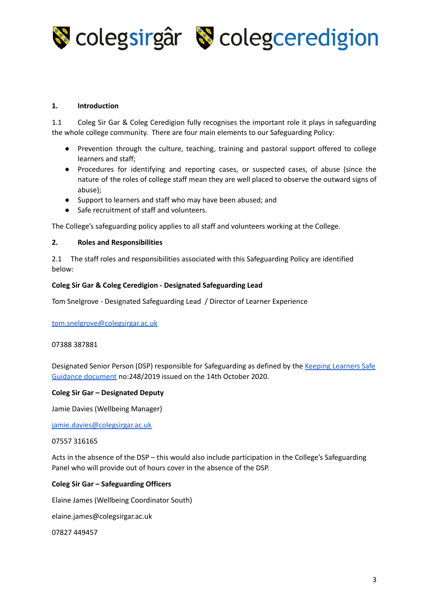

#### **1. Introduction**

1.1 Coleg Sir Gar & Coleg Ceredigion fully recognises the important role it plays in safeguarding the whole college community. There are four main elements to our Safeguarding Policy:

- Prevention through the culture, teaching, training and pastoral support offered to college learners and staff;
- Procedures for identifying and reporting cases, or suspected cases, of abuse (since the nature of the roles of college staff mean they are well placed to observe the outward signs of abuse);
- Support to learners and staff who may have been abused; and
- Safe recruitment of staff and volunteers.

The College's safeguarding policy applies to all staff and volunteers working at the College.

#### **2. Roles and Responsibilities**

2.1 The staff roles and responsibilities associated with this Safeguarding Policy are identified below:

#### **Coleg Sir Gar & Coleg Ceredigion - Designated Safeguarding Lead**

Tom Snelgrove - Designated Safeguarding Lead / Director of Learner Experience

[tom.snelgrove@colegsirgar.ac.uk](mailto:tom.snelgrove@colegsirgar.ac.uk)

#### 07388 387881

Designated Senior Person (DSP) responsible for Safeguarding as defined by the Keeping [Learners](https://drive.google.com/file/d/1lr12MMiNLZzd1yLDICv6rRX-FB5oIF2w/view?usp=sharing) Safe Guidance [document](https://drive.google.com/file/d/1lr12MMiNLZzd1yLDICv6rRX-FB5oIF2w/view?usp=sharing) no:248/2019 issued on the 14th October 2020.

#### **Coleg Sir Gar – Designated Deputy**

Jamie Davies (Wellbeing Manager)

[jamie.davies@colegsirgar.ac.uk](mailto:jamie.davies@colegsirgar.ac.uk)

#### 07557 316165

Acts in the absence of the DSP – this would also include participation in the College's Safeguarding Panel who will provide out of hours cover in the absence of the DSP.

#### **Coleg Sir Gar – Safeguarding Officers**

Elaine James (Wellbeing Coordinator South)

elaine.james@colegsirgar.ac.uk

07827 449457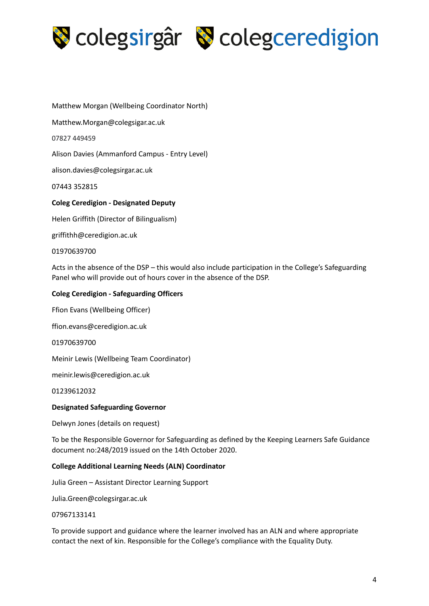

Matthew Morgan (Wellbeing Coordinator North)

Matthew.Morgan@colegsigar.ac.uk

07827 449459

Alison Davies (Ammanford Campus - Entry Level)

alison.davies@colegsirgar.ac.uk

07443 352815

#### **Coleg Ceredigion - Designated Deputy**

Helen Griffith (Director of Bilingualism)

griffithh@ceredigion.ac.uk

#### 01970639700

Acts in the absence of the DSP – this would also include participation in the College's Safeguarding Panel who will provide out of hours cover in the absence of the DSP.

#### **Coleg Ceredigion - Safeguarding Officers**

Ffion Evans (Wellbeing Officer)

ffion.evans@ceredigion.ac.uk

01970639700

Meinir Lewis (Wellbeing Team Coordinator)

meinir.lewis@ceredigion.ac.uk

01239612032

#### **Designated Safeguarding Governor**

Delwyn Jones (details on request)

To be the Responsible Governor for Safeguarding as defined by the Keeping Learners Safe Guidance document no:248/2019 issued on the 14th October 2020.

#### **College Additional Learning Needs (ALN) Coordinator**

Julia Green – Assistant Director Learning Support

Julia.Green@colegsirgar.ac.uk

#### 07967133141

To provide support and guidance where the learner involved has an ALN and where appropriate contact the next of kin. Responsible for the College's compliance with the Equality Duty.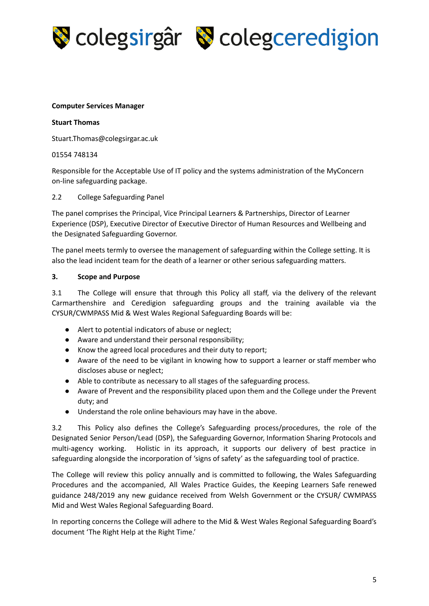

#### **Computer Services Manager**

#### **Stuart Thomas**

[Stuart.Thomas@colegsirgar.ac.uk](mailto:Stuart.Thomas@colegsirgar.ac.uk)

#### 01554 748134

Responsible for the Acceptable Use of IT policy and the systems administration of the MyConcern on-line safeguarding package.

#### 2.2 College Safeguarding Panel

The panel comprises the Principal, Vice Principal Learners & Partnerships, Director of Learner Experience (DSP), Executive Director of Executive Director of Human Resources and Wellbeing and the Designated Safeguarding Governor.

The panel meets termly to oversee the management of safeguarding within the College setting. It is also the lead incident team for the death of a learner or other serious safeguarding matters.

#### **3. Scope and Purpose**

3.1 The College will ensure that through this Policy all staff, via the delivery of the relevant Carmarthenshire and Ceredigion safeguarding groups and the training available via the CYSUR/CWMPASS Mid & West Wales Regional Safeguarding Boards will be:

- Alert to potential indicators of abuse or neglect;
- Aware and understand their personal responsibility;
- Know the agreed local procedures and their duty to report;
- Aware of the need to be vigilant in knowing how to support a learner or staff member who discloses abuse or neglect;
- Able to contribute as necessary to all stages of the safeguarding process.
- Aware of Prevent and the responsibility placed upon them and the College under the Prevent duty; and
- Understand the role online behaviours may have in the above.

3.2 This Policy also defines the College's Safeguarding process/procedures, the role of the Designated Senior Person/Lead (DSP), the Safeguarding Governor, Information Sharing Protocols and multi-agency working. Holistic in its approach, it supports our delivery of best practice in safeguarding alongside the incorporation of 'signs of safety' as the safeguarding tool of practice.

The College will review this policy annually and is committed to following, the Wales Safeguarding Procedures and the accompanied, All Wales Practice Guides, the Keeping Learners Safe renewed guidance 248/2019 any new guidance received from Welsh Government or the CYSUR/ CWMPASS Mid and West Wales Regional Safeguarding Board.

In reporting concerns the College will adhere to the Mid & West Wales Regional Safeguarding Board's document 'The Right Help at the Right Time.'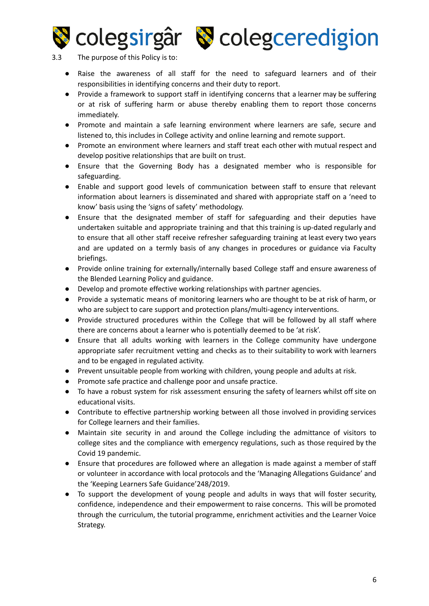

**Scolegsirgâr & colegceredigion** 

#### 3.3 The purpose of this Policy is to:

- Raise the awareness of all staff for the need to safeguard learners and of their responsibilities in identifying concerns and their duty to report.
- Provide a framework to support staff in identifying concerns that a learner may be suffering or at risk of suffering harm or abuse thereby enabling them to report those concerns immediately.
- Promote and maintain a safe learning environment where learners are safe, secure and listened to, this includes in College activity and online learning and remote support.
- Promote an environment where learners and staff treat each other with mutual respect and develop positive relationships that are built on trust.
- Ensure that the Governing Body has a designated member who is responsible for safeguarding.
- Enable and support good levels of communication between staff to ensure that relevant information about learners is disseminated and shared with appropriate staff on a 'need to know' basis using the 'signs of safety' methodology.
- Ensure that the designated member of staff for safeguarding and their deputies have undertaken suitable and appropriate training and that this training is up-dated regularly and to ensure that all other staff receive refresher safeguarding training at least every two years and are updated on a termly basis of any changes in procedures or guidance via Faculty briefings.
- Provide online training for externally/internally based College staff and ensure awareness of the Blended Learning Policy and guidance.
- Develop and promote effective working relationships with partner agencies.
- Provide a systematic means of monitoring learners who are thought to be at risk of harm, or who are subject to care support and protection plans/multi-agency interventions.
- Provide structured procedures within the College that will be followed by all staff where there are concerns about a learner who is potentially deemed to be 'at risk'.
- Ensure that all adults working with learners in the College community have undergone appropriate safer recruitment vetting and checks as to their suitability to work with learners and to be engaged in regulated activity.
- Prevent unsuitable people from working with children, young people and adults at risk.
- Promote safe practice and challenge poor and unsafe practice.
- To have a robust system for risk assessment ensuring the safety of learners whilst off site on educational visits.
- Contribute to effective partnership working between all those involved in providing services for College learners and their families.
- Maintain site security in and around the College including the admittance of visitors to college sites and the compliance with emergency regulations, such as those required by the Covid 19 pandemic.
- Ensure that procedures are followed where an allegation is made against a member of staff or volunteer in accordance with local protocols and the 'Managing Allegations Guidance' and the 'Keeping Learners Safe Guidance'248/2019.
- To support the development of young people and adults in ways that will foster security, confidence, independence and their empowerment to raise concerns. This will be promoted through the curriculum, the tutorial programme, enrichment activities and the Learner Voice Strategy.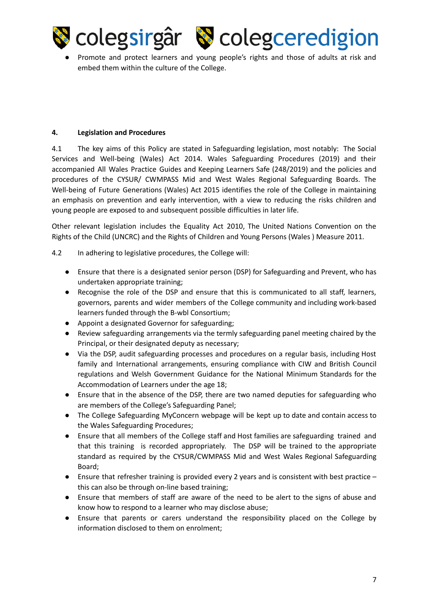

Promote and protect learners and young people's rights and those of adults at risk and embed them within the culture of the College.

#### **4. Legislation and Procedures**

4.1 The key aims of this Policy are stated in Safeguarding legislation, most notably: The Social Services and Well-being (Wales) Act 2014. Wales Safeguarding Procedures (2019) and their accompanied All Wales Practice Guides and Keeping Learners Safe (248/2019) and the policies and procedures of the CYSUR/ CWMPASS Mid and West Wales Regional Safeguarding Boards. The Well-being of Future Generations (Wales) Act 2015 identifies the role of the College in maintaining an emphasis on prevention and early intervention, with a view to reducing the risks children and young people are exposed to and subsequent possible difficulties in later life.

Other relevant legislation includes the Equality Act 2010, The United Nations Convention on the Rights of the Child (UNCRC) and the Rights of Children and Young Persons (Wales ) Measure 2011.

- 4.2 In adhering to legislative procedures, the College will:
	- Ensure that there is a designated senior person (DSP) for Safeguarding and Prevent, who has undertaken appropriate training;
	- Recognise the role of the DSP and ensure that this is communicated to all staff, learners, governors, parents and wider members of the College community and including work-based learners funded through the B-wbl Consortium;
	- Appoint a designated Governor for safeguarding;
	- Review safeguarding arrangements via the termly safeguarding panel meeting chaired by the Principal, or their designated deputy as necessary;
	- Via the DSP, audit safeguarding processes and procedures on a regular basis, including Host family and International arrangements, ensuring compliance with CIW and British Council regulations and Welsh Government Guidance for the National Minimum Standards for the Accommodation of Learners under the age 18;
	- Ensure that in the absence of the DSP, there are two named deputies for safeguarding who are members of the College's Safeguarding Panel;
	- The College Safeguarding MyConcern webpage will be kept up to date and contain access to the Wales Safeguarding Procedures;
	- Ensure that all members of the College staff and Host families are safeguarding trained and that this training is recorded appropriately. The DSP will be trained to the appropriate standard as required by the CYSUR/CWMPASS Mid and West Wales Regional Safeguarding Board;
	- Ensure that refresher training is provided every 2 years and is consistent with best practice this can also be through on-line based training;
	- Ensure that members of staff are aware of the need to be alert to the signs of abuse and know how to respond to a learner who may disclose abuse;
	- Ensure that parents or carers understand the responsibility placed on the College by information disclosed to them on enrolment;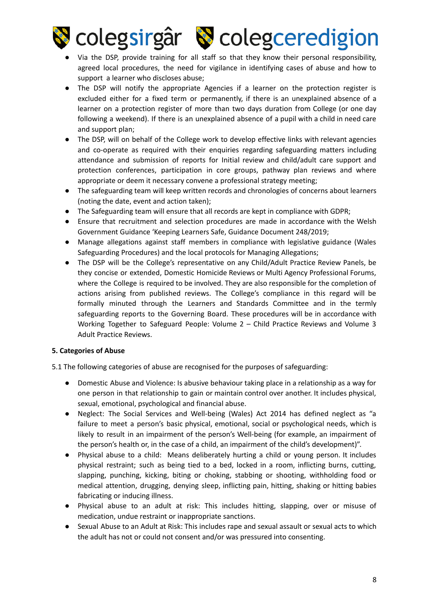

- Via the DSP, provide training for all staff so that they know their personal responsibility, agreed local procedures, the need for vigilance in identifying cases of abuse and how to support a learner who discloses abuse;
- The DSP will notify the appropriate Agencies if a learner on the protection register is excluded either for a fixed term or permanently, if there is an unexplained absence of a learner on a protection register of more than two days duration from College (or one day following a weekend). If there is an unexplained absence of a pupil with a child in need care and support plan;
- The DSP, will on behalf of the College work to develop effective links with relevant agencies and co-operate as required with their enquiries regarding safeguarding matters including attendance and submission of reports for Initial review and child/adult care support and protection conferences, participation in core groups, pathway plan reviews and where appropriate or deem it necessary convene a professional strategy meeting;
- The safeguarding team will keep written records and chronologies of concerns about learners (noting the date, event and action taken);
- The Safeguarding team will ensure that all records are kept in compliance with GDPR;
- Ensure that recruitment and selection procedures are made in accordance with the Welsh Government Guidance 'Keeping Learners Safe, Guidance Document 248/2019;
- Manage allegations against staff members in compliance with legislative guidance (Wales Safeguarding Procedures) and the local protocols for Managing Allegations;
- The DSP will be the College's representative on any Child/Adult Practice Review Panels, be they concise or extended, Domestic Homicide Reviews or Multi Agency Professional Forums, where the College is required to be involved. They are also responsible for the completion of actions arising from published reviews. The College's compliance in this regard will be formally minuted through the Learners and Standards Committee and in the termly safeguarding reports to the Governing Board. These procedures will be in accordance with Working Together to Safeguard People: Volume 2 – Child Practice Reviews and Volume 3 Adult Practice Reviews.

#### **5. Categories of Abuse**

5.1 The following categories of abuse are recognised for the purposes of safeguarding:

- Domestic Abuse and Violence: Is abusive behaviour taking place in a relationship as a way for one person in that relationship to gain or maintain control over another. It includes physical, sexual, emotional, psychological and financial abuse.
- Neglect: The Social Services and Well-being (Wales) Act 2014 has defined neglect as "a failure to meet a person's basic physical, emotional, social or psychological needs, which is likely to result in an impairment of the person's Well-being (for example, an impairment of the person's health or, in the case of a child, an impairment of the child's development)".
- Physical abuse to a child: Means deliberately hurting a child or young person. It includes physical restraint; such as being tied to a bed, locked in a room, inflicting burns, cutting, slapping, punching, kicking, biting or choking, stabbing or shooting, withholding food or medical attention, drugging, denying sleep, inflicting pain, hitting, shaking or hitting babies fabricating or inducing illness.
- Physical abuse to an adult at risk: This includes hitting, slapping, over or misuse of medication, undue restraint or inappropriate sanctions.
- Sexual Abuse to an Adult at Risk: This includes rape and sexual assault or sexual acts to which the adult has not or could not consent and/or was pressured into consenting.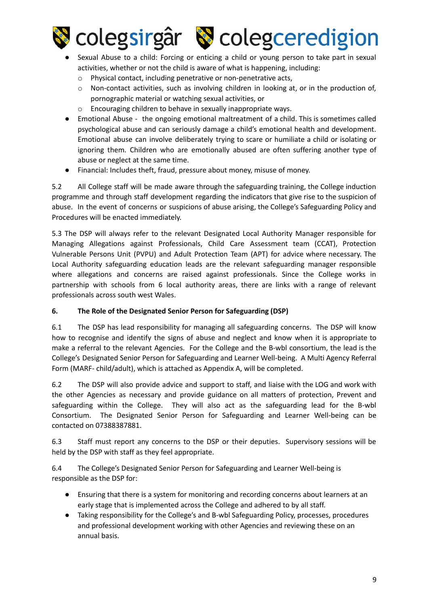

- Sexual Abuse to a child: Forcing or enticing a child or young person to take part in sexual activities, whether or not the child is aware of what is happening, including:
	- o Physical contact, including penetrative or non-penetrative acts,
	- $\circ$  Non-contact activities, such as involving children in looking at, or in the production of, pornographic material or watching sexual activities, or
	- o Encouraging children to behave in sexually inappropriate ways.
- Emotional Abuse the ongoing emotional maltreatment of a child. This is sometimes called psychological abuse and can seriously damage a child's emotional health and development. Emotional abuse can involve deliberately trying to scare or humiliate a child or isolating or ignoring them. Children who are emotionally abused are often suffering another type of abuse or neglect at the same time.
- Financial: Includes theft, fraud, pressure about money, misuse of money.

5.2 All College staff will be made aware through the safeguarding training, the College induction programme and through staff development regarding the indicators that give rise to the suspicion of abuse. In the event of concerns or suspicions of abuse arising, the College's Safeguarding Policy and Procedures will be enacted immediately.

5.3 The DSP will always refer to the relevant Designated Local Authority Manager responsible for Managing Allegations against Professionals, Child Care Assessment team (CCAT), Protection Vulnerable Persons Unit (PVPU) and Adult Protection Team (APT) for advice where necessary. The Local Authority safeguarding education leads are the relevant safeguarding manager responsible where allegations and concerns are raised against professionals. Since the College works in partnership with schools from 6 local authority areas, there are links with a range of relevant professionals across south west Wales.

#### **6. The Role of the Designated Senior Person for Safeguarding (DSP)**

6.1 The DSP has lead responsibility for managing all safeguarding concerns. The DSP will know how to recognise and identify the signs of abuse and neglect and know when it is appropriate to make a referral to the relevant Agencies. For the College and the B-wbl consortium, the lead is the College's Designated Senior Person for Safeguarding and Learner Well-being. A Multi Agency Referral Form (MARF- child/adult), which is attached as Appendix A, will be completed.

6.2 The DSP will also provide advice and support to staff, and liaise with the LOG and work with the other Agencies as necessary and provide guidance on all matters of protection, Prevent and safeguarding within the College. They will also act as the safeguarding lead for the B-wbl Consortium. The Designated Senior Person for Safeguarding and Learner Well-being can be contacted on 07388387881.

6.3 Staff must report any concerns to the DSP or their deputies. Supervisory sessions will be held by the DSP with staff as they feel appropriate.

6.4 The College's Designated Senior Person for Safeguarding and Learner Well-being is responsible as the DSP for:

- Ensuring that there is a system for monitoring and recording concerns about learners at an early stage that is implemented across the College and adhered to by all staff.
- Taking responsibility for the College's and B-wbl Safeguarding Policy, processes, procedures and professional development working with other Agencies and reviewing these on an annual basis.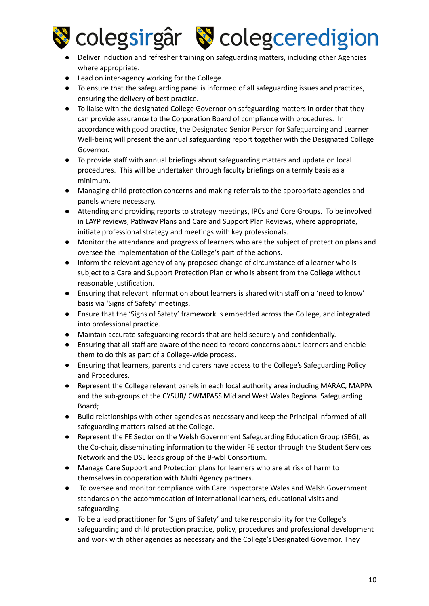

### colegsirgâr & colegceredigion

#### Deliver induction and refresher training on safeguarding matters, including other Agencies where appropriate.

- Lead on inter-agency working for the College.
- To ensure that the safeguarding panel is informed of all safeguarding issues and practices, ensuring the delivery of best practice.
- To liaise with the designated College Governor on safeguarding matters in order that they can provide assurance to the Corporation Board of compliance with procedures. In accordance with good practice, the Designated Senior Person for Safeguarding and Learner Well-being will present the annual safeguarding report together with the Designated College Governor.
- To provide staff with annual briefings about safeguarding matters and update on local procedures. This will be undertaken through faculty briefings on a termly basis as a minimum.
- Managing child protection concerns and making referrals to the appropriate agencies and panels where necessary.
- Attending and providing reports to strategy meetings, IPCs and Core Groups. To be involved in LAYP reviews, Pathway Plans and Care and Support Plan Reviews, where appropriate, initiate professional strategy and meetings with key professionals.
- Monitor the attendance and progress of learners who are the subject of protection plans and oversee the implementation of the College's part of the actions.
- Inform the relevant agency of any proposed change of circumstance of a learner who is subject to a Care and Support Protection Plan or who is absent from the College without reasonable justification.
- Ensuring that relevant information about learners is shared with staff on a 'need to know' basis via 'Signs of Safety' meetings.
- Ensure that the 'Signs of Safety' framework is embedded across the College, and integrated into professional practice.
- Maintain accurate safeguarding records that are held securely and confidentially.
- Ensuring that all staff are aware of the need to record concerns about learners and enable them to do this as part of a College-wide process.
- Ensuring that learners, parents and carers have access to the College's Safeguarding Policy and Procedures.
- Represent the College relevant panels in each local authority area including MARAC, MAPPA and the sub-groups of the CYSUR/ CWMPASS Mid and West Wales Regional Safeguarding Board;
- Build relationships with other agencies as necessary and keep the Principal informed of all safeguarding matters raised at the College.
- Represent the FE Sector on the Welsh Government Safeguarding Education Group (SEG), as the Co-chair, disseminating information to the wider FE sector through the Student Services Network and the DSL leads group of the B-wbl Consortium.
- Manage Care Support and Protection plans for learners who are at risk of harm to themselves in cooperation with Multi Agency partners.
- To oversee and monitor compliance with Care Inspectorate Wales and Welsh Government standards on the accommodation of international learners, educational visits and safeguarding.
- To be a lead practitioner for 'Signs of Safety' and take responsibility for the College's safeguarding and child protection practice, policy, procedures and professional development and work with other agencies as necessary and the College's Designated Governor. They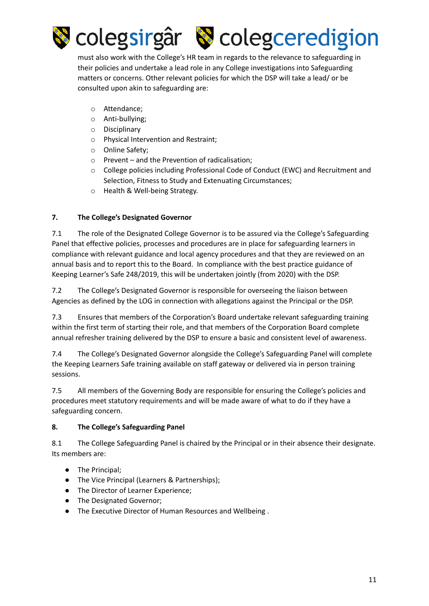

must also work with the College's HR team in regards to the relevance to safeguarding in their policies and undertake a lead role in any College investigations into Safeguarding matters or concerns. Other relevant policies for which the DSP will take a lead/ or be consulted upon akin to safeguarding are:

- o Attendance;
- o Anti-bullying;
- o Disciplinary
- o Physical Intervention and Restraint;
- o Online Safety;
- o Prevent and the Prevention of radicalisation;
- o College policies including Professional Code of Conduct (EWC) and Recruitment and Selection, Fitness to Study and Extenuating Circumstances;
- o Health & Well-being Strategy.

#### **7. The College's Designated Governor**

7.1 The role of the Designated College Governor is to be assured via the College's Safeguarding Panel that effective policies, processes and procedures are in place for safeguarding learners in compliance with relevant guidance and local agency procedures and that they are reviewed on an annual basis and to report this to the Board. In compliance with the best practice guidance of Keeping Learner's Safe 248/2019, this will be undertaken jointly (from 2020) with the DSP.

7.2 The College's Designated Governor is responsible for overseeing the liaison between Agencies as defined by the LOG in connection with allegations against the Principal or the DSP.

7.3 Ensures that members of the Corporation's Board undertake relevant safeguarding training within the first term of starting their role, and that members of the Corporation Board complete annual refresher training delivered by the DSP to ensure a basic and consistent level of awareness.

7.4 The College's Designated Governor alongside the College's Safeguarding Panel will complete the Keeping Learners Safe training available on staff gateway or delivered via in person training sessions.

7.5 All members of the Governing Body are responsible for ensuring the College's policies and procedures meet statutory requirements and will be made aware of what to do if they have a safeguarding concern.

#### **8. The College's Safeguarding Panel**

8.1 The College Safeguarding Panel is chaired by the Principal or in their absence their designate. Its members are:

- The Principal;
- The Vice Principal (Learners & Partnerships);
- The Director of Learner Experience;
- The Designated Governor;
- The Executive Director of Human Resources and Wellbeing .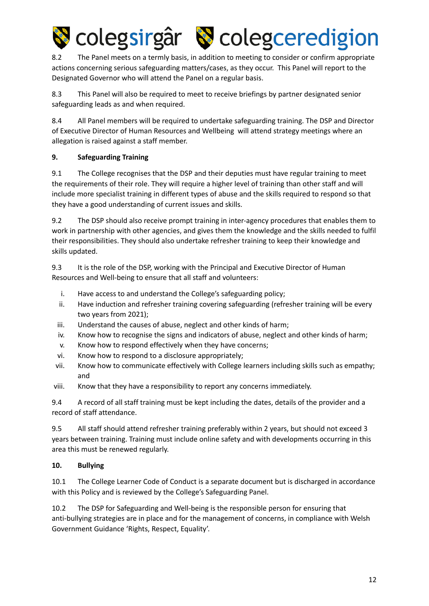

8.2 The Panel meets on a termly basis, in addition to meeting to consider or confirm appropriate actions concerning serious safeguarding matters/cases, as they occur. This Panel will report to the Designated Governor who will attend the Panel on a regular basis.

8.3 This Panel will also be required to meet to receive briefings by partner designated senior safeguarding leads as and when required.

8.4 All Panel members will be required to undertake safeguarding training. The DSP and Director of Executive Director of Human Resources and Wellbeing will attend strategy meetings where an allegation is raised against a staff member.

#### **9. Safeguarding Training**

9.1 The College recognises that the DSP and their deputies must have regular training to meet the requirements of their role. They will require a higher level of training than other staff and will include more specialist training in different types of abuse and the skills required to respond so that they have a good understanding of current issues and skills.

9.2 The DSP should also receive prompt training in inter-agency procedures that enables them to work in partnership with other agencies, and gives them the knowledge and the skills needed to fulfil their responsibilities. They should also undertake refresher training to keep their knowledge and skills updated.

9.3 It is the role of the DSP, working with the Principal and Executive Director of Human Resources and Well-being to ensure that all staff and volunteers:

- i. Have access to and understand the College's safeguarding policy;
- ii. Have induction and refresher training covering safeguarding (refresher training will be every two years from 2021);
- iii. Understand the causes of abuse, neglect and other kinds of harm;
- iv. Know how to recognise the signs and indicators of abuse, neglect and other kinds of harm;
- v. Know how to respond effectively when they have concerns;
- vi. Know how to respond to a disclosure appropriately;
- vii. Know how to communicate effectively with College learners including skills such as empathy; and
- viii. Know that they have a responsibility to report any concerns immediately.

9.4 A record of all staff training must be kept including the dates, details of the provider and a record of staff attendance.

9.5 All staff should attend refresher training preferably within 2 years, but should not exceed 3 years between training. Training must include online safety and with developments occurring in this area this must be renewed regularly.

#### **10. Bullying**

10.1 The College Learner Code of Conduct is a separate document but is discharged in accordance with this Policy and is reviewed by the College's Safeguarding Panel.

10.2 The DSP for Safeguarding and Well-being is the responsible person for ensuring that anti-bullying strategies are in place and for the management of concerns, in compliance with Welsh Government Guidance 'Rights, Respect, Equality'.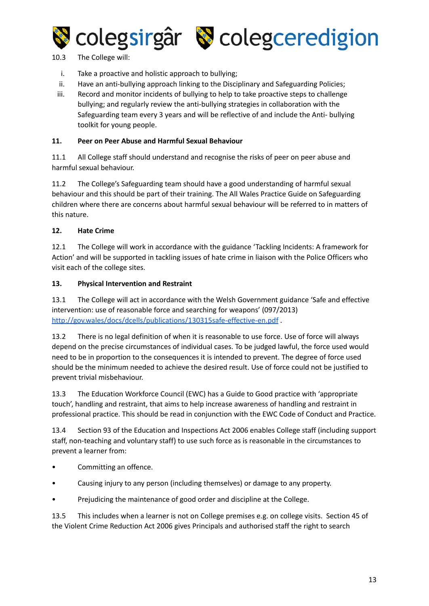



10.3 The College will:

- i. Take a proactive and holistic approach to bullying;
- ii. Have an anti-bullying approach linking to the Disciplinary and Safeguarding Policies;
- iii. Record and monitor incidents of bullying to help to take proactive steps to challenge bullying; and regularly review the anti-bullying strategies in collaboration with the Safeguarding team every 3 years and will be reflective of and include the Anti- bullying toolkit for young people.

#### **11. Peer on Peer Abuse and Harmful Sexual Behaviour**

11.1 All College staff should understand and recognise the risks of peer on peer abuse and harmful sexual behaviour.

11.2 The College's Safeguarding team should have a good understanding of harmful sexual behaviour and this should be part of their training. The All Wales Practice Guide on Safeguarding children where there are concerns about harmful sexual behaviour will be referred to in matters of this nature.

#### **12. Hate Crime**

12.1 The College will work in accordance with the guidance 'Tackling Incidents: A framework for Action' and will be supported in tackling issues of hate crime in liaison with the Police Officers who visit each of the college sites.

#### **13. Physical Intervention and Restraint**

13.1 The College will act in accordance with the Welsh Government guidance 'Safe and effective intervention: use of reasonable force and searching for weapons' (097/2013) <http://gov.wales/docs/dcells/publications/130315safe-effective-en.pdf> .

13.2 There is no legal definition of when it is reasonable to use force. Use of force will always depend on the precise circumstances of individual cases. To be judged lawful, the force used would need to be in proportion to the consequences it is intended to prevent. The degree of force used should be the minimum needed to achieve the desired result. Use of force could not be justified to prevent trivial misbehaviour.

13.3 The Education Workforce Council (EWC) has a Guide to Good practice with 'appropriate touch', handling and restraint, that aims to help increase awareness of handling and restraint in professional practice. This should be read in conjunction with the EWC Code of Conduct and Practice.

13.4 Section 93 of the Education and Inspections Act 2006 enables College staff (including support staff, non-teaching and voluntary staff) to use such force as is reasonable in the circumstances to prevent a learner from:

- Committing an offence.
- Causing injury to any person (including themselves) or damage to any property.
- Prejudicing the maintenance of good order and discipline at the College.

13.5 This includes when a learner is not on College premises e.g. on college visits. Section 45 of the Violent Crime Reduction Act 2006 gives Principals and authorised staff the right to search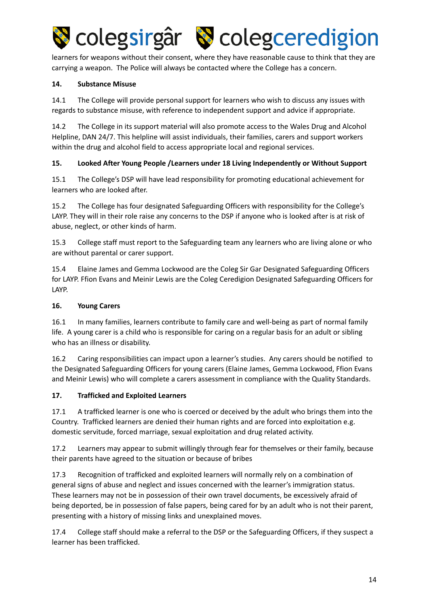

learners for weapons without their consent, where they have reasonable cause to think that they are carrying a weapon. The Police will always be contacted where the College has a concern.

#### **14. Substance Misuse**

14.1 The College will provide personal support for learners who wish to discuss any issues with regards to substance misuse, with reference to independent support and advice if appropriate.

14.2 The College in its support material will also promote access to the Wales Drug and Alcohol Helpline, DAN 24/7. This helpline will assist individuals, their families, carers and support workers within the drug and alcohol field to access appropriate local and regional services.

#### **15. Looked After Young People /Learners under 18 Living Independently or Without Support**

15.1 The College's DSP will have lead responsibility for promoting educational achievement for learners who are looked after.

15.2 The College has four designated Safeguarding Officers with responsibility for the College's LAYP. They will in their role raise any concerns to the DSP if anyone who is looked after is at risk of abuse, neglect, or other kinds of harm.

15.3 College staff must report to the Safeguarding team any learners who are living alone or who are without parental or carer support.

15.4 Elaine James and Gemma Lockwood are the Coleg Sir Gar Designated Safeguarding Officers for LAYP. Ffion Evans and Meinir Lewis are the Coleg Ceredigion Designated Safeguarding Officers for LAYP.

#### **16. Young Carers**

16.1 In many families, learners contribute to family care and well-being as part of normal family life. A young carer is a child who is responsible for caring on a regular basis for an adult or sibling who has an illness or disability.

16.2 Caring responsibilities can impact upon a learner's studies. Any carers should be notified to the Designated Safeguarding Officers for young carers (Elaine James, Gemma Lockwood, Ffion Evans and Meinir Lewis) who will complete a carers assessment in compliance with the Quality Standards.

#### **17. Trafficked and Exploited Learners**

17.1 A trafficked learner is one who is coerced or deceived by the adult who brings them into the Country. Trafficked learners are denied their human rights and are forced into exploitation e.g. domestic servitude, forced marriage, sexual exploitation and drug related activity.

17.2 Learners may appear to submit willingly through fear for themselves or their family, because their parents have agreed to the situation or because of bribes

17.3 Recognition of trafficked and exploited learners will normally rely on a combination of general signs of abuse and neglect and issues concerned with the learner's immigration status. These learners may not be in possession of their own travel documents, be excessively afraid of being deported, be in possession of false papers, being cared for by an adult who is not their parent, presenting with a history of missing links and unexplained moves.

17.4 College staff should make a referral to the DSP or the Safeguarding Officers, if they suspect a learner has been trafficked.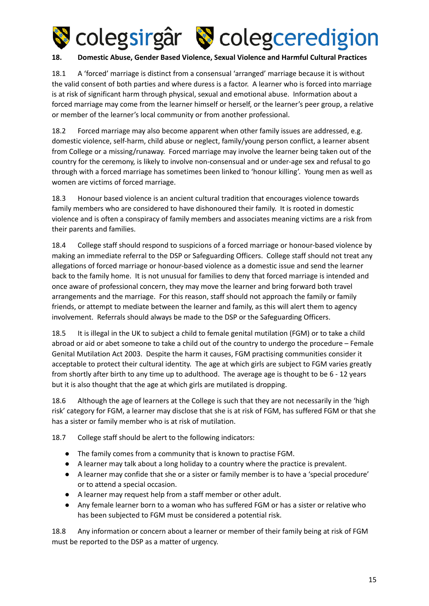

#### **18. Domestic Abuse, Gender Based Violence, Sexual Violence and Harmful Cultural Practices**

18.1 A 'forced' marriage is distinct from a consensual 'arranged' marriage because it is without the valid consent of both parties and where duress is a factor. A learner who is forced into marriage is at risk of significant harm through physical, sexual and emotional abuse. Information about a forced marriage may come from the learner himself or herself, or the learner's peer group, a relative or member of the learner's local community or from another professional.

18.2 Forced marriage may also become apparent when other family issues are addressed, e.g. domestic violence, self-harm, child abuse or neglect, family/young person conflict, a learner absent from College or a missing/runaway. Forced marriage may involve the learner being taken out of the country for the ceremony, is likely to involve non-consensual and or under-age sex and refusal to go through with a forced marriage has sometimes been linked to 'honour killing'. Young men as well as women are victims of forced marriage.

18.3 Honour based violence is an ancient cultural tradition that encourages violence towards family members who are considered to have dishonoured their family. It is rooted in domestic violence and is often a conspiracy of family members and associates meaning victims are a risk from their parents and families.

18.4 College staff should respond to suspicions of a forced marriage or honour-based violence by making an immediate referral to the DSP or Safeguarding Officers. College staff should not treat any allegations of forced marriage or honour-based violence as a domestic issue and send the learner back to the family home. It is not unusual for families to deny that forced marriage is intended and once aware of professional concern, they may move the learner and bring forward both travel arrangements and the marriage. For this reason, staff should not approach the family or family friends, or attempt to mediate between the learner and family, as this will alert them to agency involvement. Referrals should always be made to the DSP or the Safeguarding Officers.

18.5 It is illegal in the UK to subject a child to female genital mutilation (FGM) or to take a child abroad or aid or abet someone to take a child out of the country to undergo the procedure – Female Genital Mutilation Act 2003. Despite the harm it causes, FGM practising communities consider it acceptable to protect their cultural identity. The age at which girls are subject to FGM varies greatly from shortly after birth to any time up to adulthood. The average age is thought to be 6 - 12 years but it is also thought that the age at which girls are mutilated is dropping.

18.6 Although the age of learners at the College is such that they are not necessarily in the 'high risk' category for FGM, a learner may disclose that she is at risk of FGM, has suffered FGM or that she has a sister or family member who is at risk of mutilation.

18.7 College staff should be alert to the following indicators:

- The family comes from a community that is known to practise FGM.
- A learner may talk about a long holiday to a country where the practice is prevalent.
- A learner may confide that she or a sister or family member is to have a 'special procedure' or to attend a special occasion.
- A learner may request help from a staff member or other adult.
- Any female learner born to a woman who has suffered FGM or has a sister or relative who has been subjected to FGM must be considered a potential risk.

18.8 Any information or concern about a learner or member of their family being at risk of FGM must be reported to the DSP as a matter of urgency.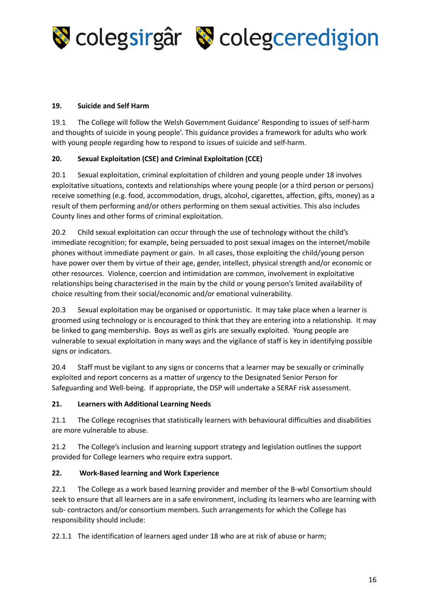

#### **19. Suicide and Self Harm**

19.1 The College will follow the Welsh Government Guidance' Responding to issues of self-harm and thoughts of suicide in young people'. This guidance provides a framework for adults who work with young people regarding how to respond to issues of suicide and self-harm.

#### **20. Sexual Exploitation (CSE) and Criminal Exploitation (CCE)**

20.1 Sexual exploitation, criminal exploitation of children and young people under 18 involves exploitative situations, contexts and relationships where young people (or a third person or persons) receive something (e.g. food, accommodation, drugs, alcohol, cigarettes, affection, gifts, money) as a result of them performing and/or others performing on them sexual activities. This also includes County lines and other forms of criminal exploitation.

20.2 Child sexual exploitation can occur through the use of technology without the child's immediate recognition; for example, being persuaded to post sexual images on the internet/mobile phones without immediate payment or gain. In all cases, those exploiting the child/young person have power over them by virtue of their age, gender, intellect, physical strength and/or economic or other resources. Violence, coercion and intimidation are common, involvement in exploitative relationships being characterised in the main by the child or young person's limited availability of choice resulting from their social/economic and/or emotional vulnerability.

20.3 Sexual exploitation may be organised or opportunistic. It may take place when a learner is groomed using technology or is encouraged to think that they are entering into a relationship. It may be linked to gang membership. Boys as well as girls are sexually exploited. Young people are vulnerable to sexual exploitation in many ways and the vigilance of staff is key in identifying possible signs or indicators.

20.4 Staff must be vigilant to any signs or concerns that a learner may be sexually or criminally exploited and report concerns as a matter of urgency to the Designated Senior Person for Safeguarding and Well-being. If appropriate, the DSP will undertake a SERAF risk assessment.

#### **21. Learners with Additional Learning Needs**

21.1 The College recognises that statistically learners with behavioural difficulties and disabilities are more vulnerable to abuse.

21.2 The College's inclusion and learning support strategy and legislation outlines the support provided for College learners who require extra support.

#### **22. Work-Based learning and Work Experience**

22.1 The College as a work based learning provider and member of the B-wbl Consortium should seek to ensure that all learners are in a safe environment, including its learners who are learning with sub- contractors and/or consortium members. Such arrangements for which the College has responsibility should include:

22.1.1 The identification of learners aged under 18 who are at risk of abuse or harm;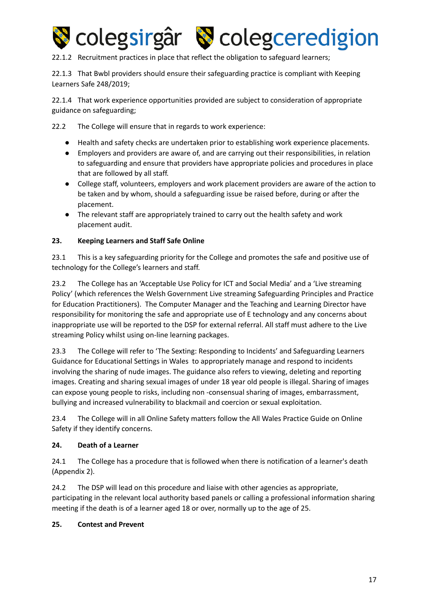

22.1.2 Recruitment practices in place that reflect the obligation to safeguard learners;

22.1.3 That Bwbl providers should ensure their safeguarding practice is compliant with Keeping Learners Safe 248/2019;

22.1.4 That work experience opportunities provided are subject to consideration of appropriate guidance on safeguarding;

22.2 The College will ensure that in regards to work experience:

- Health and safety checks are undertaken prior to establishing work experience placements.
- Employers and providers are aware of, and are carrying out their responsibilities, in relation to safeguarding and ensure that providers have appropriate policies and procedures in place that are followed by all staff.
- College staff, volunteers, employers and work placement providers are aware of the action to be taken and by whom, should a safeguarding issue be raised before, during or after the placement.
- The relevant staff are appropriately trained to carry out the health safety and work placement audit.

#### **23. Keeping Learners and Staff Safe Online**

23.1 This is a key safeguarding priority for the College and promotes the safe and positive use of technology for the College's learners and staff.

23.2 The College has an 'Acceptable Use Policy for ICT and Social Media' and a 'Live streaming Policy' (which references the Welsh Government Live streaming Safeguarding Principles and Practice for Education Practitioners). The Computer Manager and the Teaching and Learning Director have responsibility for monitoring the safe and appropriate use of E technology and any concerns about inappropriate use will be reported to the DSP for external referral. All staff must adhere to the Live streaming Policy whilst using on-line learning packages.

23.3 The College will refer to 'The Sexting: Responding to Incidents' and Safeguarding Learners Guidance for Educational Settings in Wales to appropriately manage and respond to incidents involving the sharing of nude images. The guidance also refers to viewing, deleting and reporting images. Creating and sharing sexual images of under 18 year old people is illegal. Sharing of images can expose young people to risks, including non -consensual sharing of images, embarrassment, bullying and increased vulnerability to blackmail and coercion or sexual exploitation.

23.4 The College will in all Online Safety matters follow the All Wales Practice Guide on Online Safety if they identify concerns.

#### **24. Death of a Learner**

24.1 The College has a procedure that is followed when there is notification of a learner's death (Appendix 2).

24.2 The DSP will lead on this procedure and liaise with other agencies as appropriate, participating in the relevant local authority based panels or calling a professional information sharing meeting if the death is of a learner aged 18 or over, normally up to the age of 25.

#### **25. Contest and Prevent**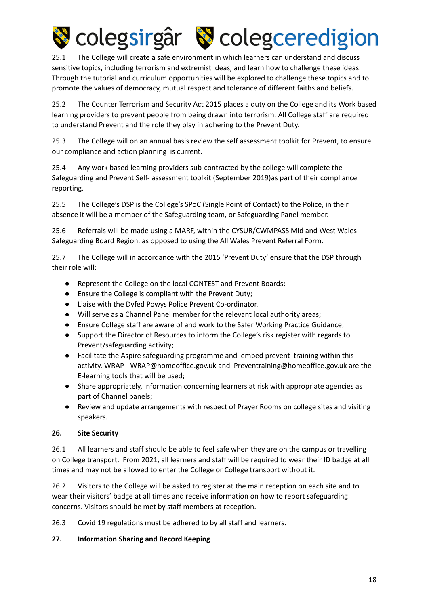

25.1 The College will create a safe environment in which learners can understand and discuss sensitive topics, including terrorism and extremist ideas, and learn how to challenge these ideas. Through the tutorial and curriculum opportunities will be explored to challenge these topics and to promote the values of democracy, mutual respect and tolerance of different faiths and beliefs.

25.2 The Counter Terrorism and Security Act 2015 places a duty on the College and its Work based learning providers to prevent people from being drawn into terrorism. All College staff are required to understand Prevent and the role they play in adhering to the Prevent Duty.

25.3 The College will on an annual basis review the self assessment toolkit for Prevent, to ensure our compliance and action planning is current.

25.4 Any work based learning providers sub-contracted by the college will complete the Safeguarding and Prevent Self- assessment toolkit (September 2019)as part of their compliance reporting.

25.5 The College's DSP is the College's SPoC (Single Point of Contact) to the Police, in their absence it will be a member of the Safeguarding team, or Safeguarding Panel member.

25.6 Referrals will be made using a MARF, within the CYSUR/CWMPASS Mid and West Wales Safeguarding Board Region, as opposed to using the All Wales Prevent Referral Form.

25.7 The College will in accordance with the 2015 'Prevent Duty' ensure that the DSP through their role will:

- Represent the College on the local CONTEST and Prevent Boards;
- Ensure the College is compliant with the Prevent Duty;
- Liaise with the Dyfed Powys Police Prevent Co-ordinator.
- Will serve as a Channel Panel member for the relevant local authority areas;
- Ensure College staff are aware of and work to the Safer Working Practice Guidance;
- Support the Director of Resources to inform the College's risk register with regards to Prevent/safeguarding activity;
- Facilitate the Aspire safeguarding programme and embed prevent training within this activity, WRAP - WRAP@homeoffice.gov.uk and Preventraining@homeoffice.gov.uk are the E-learning tools that will be used;
- Share appropriately, information concerning learners at risk with appropriate agencies as part of Channel panels;
- Review and update arrangements with respect of Prayer Rooms on college sites and visiting speakers.

#### **26. Site Security**

26.1 All learners and staff should be able to feel safe when they are on the campus or travelling on College transport. From 2021, all learners and staff will be required to wear their ID badge at all times and may not be allowed to enter the College or College transport without it.

26.2 Visitors to the College will be asked to register at the main reception on each site and to wear their visitors' badge at all times and receive information on how to report safeguarding concerns. Visitors should be met by staff members at reception.

26.3 Covid 19 regulations must be adhered to by all staff and learners.

#### **27. Information Sharing and Record Keeping**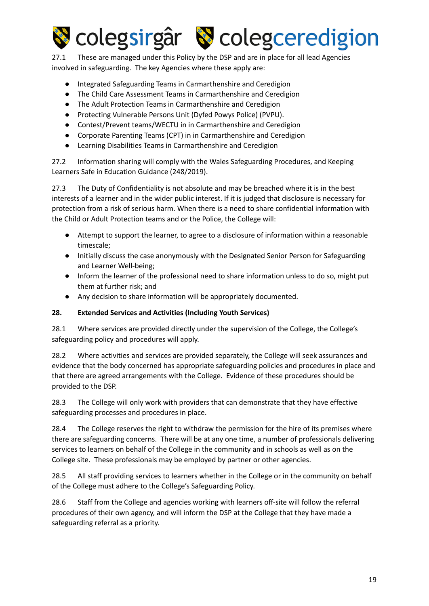

27.1 These are managed under this Policy by the DSP and are in place for all lead Agencies involved in safeguarding. The key Agencies where these apply are:

- Integrated Safeguarding Teams in Carmarthenshire and Ceredigion
- The Child Care Assessment Teams in Carmarthenshire and Ceredigion
- The Adult Protection Teams in Carmarthenshire and Ceredigion
- Protecting Vulnerable Persons Unit (Dyfed Powys Police) (PVPU).
- Contest/Prevent teams/WECTU in in Carmarthenshire and Ceredigion
- Corporate Parenting Teams (CPT) in in Carmarthenshire and Ceredigion
- Learning Disabilities Teams in Carmarthenshire and Ceredigion

27.2 Information sharing will comply with the Wales Safeguarding Procedures, and Keeping Learners Safe in Education Guidance (248/2019).

27.3 The Duty of Confidentiality is not absolute and may be breached where it is in the best interests of a learner and in the wider public interest. If it is judged that disclosure is necessary for protection from a risk of serious harm. When there is a need to share confidential information with the Child or Adult Protection teams and or the Police, the College will:

- Attempt to support the learner, to agree to a disclosure of information within a reasonable timescale;
- Initially discuss the case anonymously with the Designated Senior Person for Safeguarding and Learner Well-being;
- Inform the learner of the professional need to share information unless to do so, might put them at further risk; and
- Any decision to share information will be appropriately documented.

#### **28. Extended Services and Activities (Including Youth Services)**

28.1 Where services are provided directly under the supervision of the College, the College's safeguarding policy and procedures will apply.

28.2 Where activities and services are provided separately, the College will seek assurances and evidence that the body concerned has appropriate safeguarding policies and procedures in place and that there are agreed arrangements with the College. Evidence of these procedures should be provided to the DSP.

28.3 The College will only work with providers that can demonstrate that they have effective safeguarding processes and procedures in place.

28.4 The College reserves the right to withdraw the permission for the hire of its premises where there are safeguarding concerns. There will be at any one time, a number of professionals delivering services to learners on behalf of the College in the community and in schools as well as on the College site. These professionals may be employed by partner or other agencies.

28.5 All staff providing services to learners whether in the College or in the community on behalf of the College must adhere to the College's Safeguarding Policy.

28.6 Staff from the College and agencies working with learners off-site will follow the referral procedures of their own agency, and will inform the DSP at the College that they have made a safeguarding referral as a priority.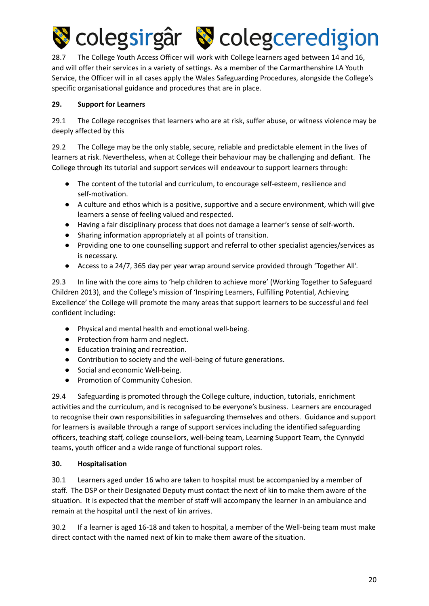

28.7 The College Youth Access Officer will work with College learners aged between 14 and 16, and will offer their services in a variety of settings. As a member of the Carmarthenshire LA Youth Service, the Officer will in all cases apply the Wales Safeguarding Procedures, alongside the College's specific organisational guidance and procedures that are in place.

#### **29. Support for Learners**

29.1 The College recognises that learners who are at risk, suffer abuse, or witness violence may be deeply affected by this

29.2 The College may be the only stable, secure, reliable and predictable element in the lives of learners at risk. Nevertheless, when at College their behaviour may be challenging and defiant. The College through its tutorial and support services will endeavour to support learners through:

- The content of the tutorial and curriculum, to encourage self-esteem, resilience and self-motivation.
- A culture and ethos which is a positive, supportive and a secure environment, which will give learners a sense of feeling valued and respected.
- Having a fair disciplinary process that does not damage a learner's sense of self-worth.
- Sharing information appropriately at all points of transition.
- Providing one to one counselling support and referral to other specialist agencies/services as is necessary.
- Access to a 24/7, 365 day per year wrap around service provided through 'Together All'.

29.3 In line with the core aims to 'help children to achieve more' (Working Together to Safeguard Children 2013), and the College's mission of 'Inspiring Learners, Fulfilling Potential, Achieving Excellence' the College will promote the many areas that support learners to be successful and feel confident including:

- Physical and mental health and emotional well-being.
- Protection from harm and neglect.
- Education training and recreation.
- Contribution to society and the well-being of future generations.
- Social and economic Well-being.
- Promotion of Community Cohesion.

29.4 Safeguarding is promoted through the College culture, induction, tutorials, enrichment activities and the curriculum, and is recognised to be everyone's business. Learners are encouraged to recognise their own responsibilities in safeguarding themselves and others. Guidance and support for learners is available through a range of support services including the identified safeguarding officers, teaching staff, college counsellors, well-being team, Learning Support Team, the Cynnydd teams, youth officer and a wide range of functional support roles.

#### **30. Hospitalisation**

30.1 Learners aged under 16 who are taken to hospital must be accompanied by a member of staff. The DSP or their Designated Deputy must contact the next of kin to make them aware of the situation. It is expected that the member of staff will accompany the learner in an ambulance and remain at the hospital until the next of kin arrives.

30.2 If a learner is aged 16-18 and taken to hospital, a member of the Well-being team must make direct contact with the named next of kin to make them aware of the situation.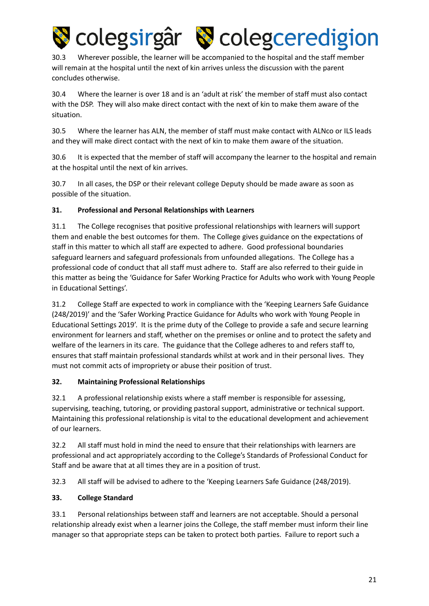

30.3 Wherever possible, the learner will be accompanied to the hospital and the staff member will remain at the hospital until the next of kin arrives unless the discussion with the parent concludes otherwise.

30.4 Where the learner is over 18 and is an 'adult at risk' the member of staff must also contact with the DSP. They will also make direct contact with the next of kin to make them aware of the situation.

30.5 Where the learner has ALN, the member of staff must make contact with ALNco or ILS leads and they will make direct contact with the next of kin to make them aware of the situation.

30.6 It is expected that the member of staff will accompany the learner to the hospital and remain at the hospital until the next of kin arrives.

30.7 In all cases, the DSP or their relevant college Deputy should be made aware as soon as possible of the situation.

#### **31. Professional and Personal Relationships with Learners**

31.1 The College recognises that positive professional relationships with learners will support them and enable the best outcomes for them. The College gives guidance on the expectations of staff in this matter to which all staff are expected to adhere. Good professional boundaries safeguard learners and safeguard professionals from unfounded allegations. The College has a professional code of conduct that all staff must adhere to. Staff are also referred to their guide in this matter as being the 'Guidance for Safer Working Practice for Adults who work with Young People in Educational Settings'.

31.2 College Staff are expected to work in compliance with the 'Keeping Learners Safe Guidance (248/2019)' and the 'Safer Working Practice Guidance for Adults who work with Young People in Educational Settings 2019'. It is the prime duty of the College to provide a safe and secure learning environment for learners and staff, whether on the premises or online and to protect the safety and welfare of the learners in its care. The guidance that the College adheres to and refers staff to, ensures that staff maintain professional standards whilst at work and in their personal lives. They must not commit acts of impropriety or abuse their position of trust.

#### **32. Maintaining Professional Relationships**

32.1 A professional relationship exists where a staff member is responsible for assessing, supervising, teaching, tutoring, or providing pastoral support, administrative or technical support. Maintaining this professional relationship is vital to the educational development and achievement of our learners.

32.2 All staff must hold in mind the need to ensure that their relationships with learners are professional and act appropriately according to the College's Standards of Professional Conduct for Staff and be aware that at all times they are in a position of trust.

32.3 All staff will be advised to adhere to the 'Keeping Learners Safe Guidance (248/2019).

#### **33. College Standard**

33.1 Personal relationships between staff and learners are not acceptable. Should a personal relationship already exist when a learner joins the College, the staff member must inform their line manager so that appropriate steps can be taken to protect both parties. Failure to report such a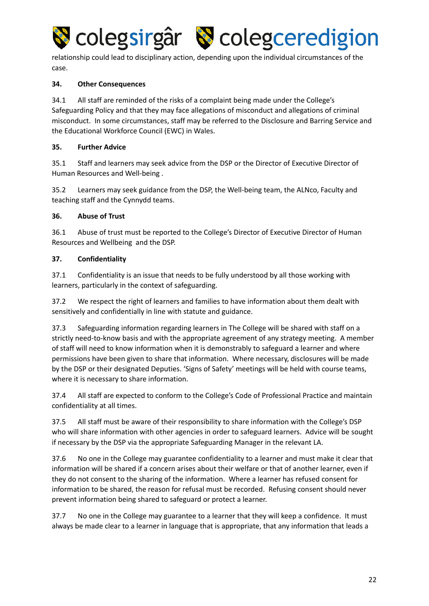

relationship could lead to disciplinary action, depending upon the individual circumstances of the case.

#### **34. Other Consequences**

34.1 All staff are reminded of the risks of a complaint being made under the College's Safeguarding Policy and that they may face allegations of misconduct and allegations of criminal misconduct. In some circumstances, staff may be referred to the Disclosure and Barring Service and the Educational Workforce Council (EWC) in Wales.

#### **35. Further Advice**

35.1 Staff and learners may seek advice from the DSP or the Director of Executive Director of Human Resources and Well-being .

35.2 Learners may seek guidance from the DSP, the Well-being team, the ALNco, Faculty and teaching staff and the Cynnydd teams.

#### **36. Abuse of Trust**

36.1 Abuse of trust must be reported to the College's Director of Executive Director of Human Resources and Wellbeing and the DSP.

#### **37. Confidentiality**

37.1 Confidentiality is an issue that needs to be fully understood by all those working with learners, particularly in the context of safeguarding.

37.2 We respect the right of learners and families to have information about them dealt with sensitively and confidentially in line with statute and guidance.

37.3 Safeguarding information regarding learners in The College will be shared with staff on a strictly need-to-know basis and with the appropriate agreement of any strategy meeting. A member of staff will need to know information when it is demonstrably to safeguard a learner and where permissions have been given to share that information. Where necessary, disclosures will be made by the DSP or their designated Deputies. 'Signs of Safety' meetings will be held with course teams, where it is necessary to share information.

37.4 All staff are expected to conform to the College's Code of Professional Practice and maintain confidentiality at all times.

37.5 All staff must be aware of their responsibility to share information with the College's DSP who will share information with other agencies in order to safeguard learners. Advice will be sought if necessary by the DSP via the appropriate Safeguarding Manager in the relevant LA.

37.6 No one in the College may guarantee confidentiality to a learner and must make it clear that information will be shared if a concern arises about their welfare or that of another learner, even if they do not consent to the sharing of the information. Where a learner has refused consent for information to be shared, the reason for refusal must be recorded. Refusing consent should never prevent information being shared to safeguard or protect a learner.

37.7 No one in the College may guarantee to a learner that they will keep a confidence. It must always be made clear to a learner in language that is appropriate, that any information that leads a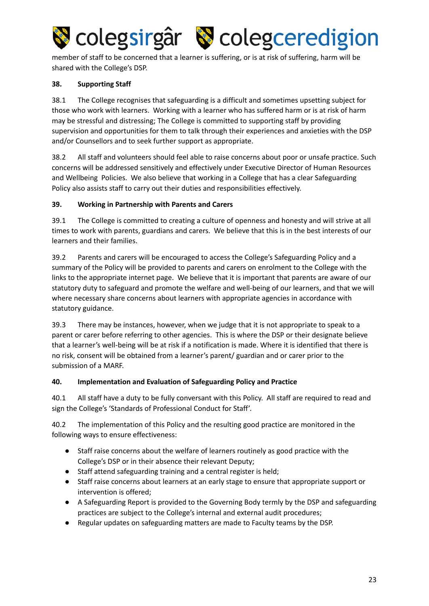

member of staff to be concerned that a learner is suffering, or is at risk of suffering, harm will be shared with the College's DSP.

#### **38. Supporting Staff**

38.1 The College recognises that safeguarding is a difficult and sometimes upsetting subject for those who work with learners. Working with a learner who has suffered harm or is at risk of harm may be stressful and distressing; The College is committed to supporting staff by providing supervision and opportunities for them to talk through their experiences and anxieties with the DSP and/or Counsellors and to seek further support as appropriate.

38.2 All staff and volunteers should feel able to raise concerns about poor or unsafe practice. Such concerns will be addressed sensitively and effectively under Executive Director of Human Resources and Wellbeing Policies. We also believe that working in a College that has a clear Safeguarding Policy also assists staff to carry out their duties and responsibilities effectively.

#### **39. Working in Partnership with Parents and Carers**

39.1 The College is committed to creating a culture of openness and honesty and will strive at all times to work with parents, guardians and carers. We believe that this is in the best interests of our learners and their families.

39.2 Parents and carers will be encouraged to access the College's Safeguarding Policy and a summary of the Policy will be provided to parents and carers on enrolment to the College with the links to the appropriate internet page. We believe that it is important that parents are aware of our statutory duty to safeguard and promote the welfare and well-being of our learners, and that we will where necessary share concerns about learners with appropriate agencies in accordance with statutory guidance.

39.3 There may be instances, however, when we judge that it is not appropriate to speak to a parent or carer before referring to other agencies. This is where the DSP or their designate believe that a learner's well-being will be at risk if a notification is made. Where it is identified that there is no risk, consent will be obtained from a learner's parent/ guardian and or carer prior to the submission of a MARF.

#### **40. Implementation and Evaluation of Safeguarding Policy and Practice**

40.1 All staff have a duty to be fully conversant with this Policy. All staff are required to read and sign the College's 'Standards of Professional Conduct for Staff'.

40.2 The implementation of this Policy and the resulting good practice are monitored in the following ways to ensure effectiveness:

- Staff raise concerns about the welfare of learners routinely as good practice with the College's DSP or in their absence their relevant Deputy;
- Staff attend safeguarding training and a central register is held;
- Staff raise concerns about learners at an early stage to ensure that appropriate support or intervention is offered;
- A Safeguarding Report is provided to the Governing Body termly by the DSP and safeguarding practices are subject to the College's internal and external audit procedures;
- Regular updates on safeguarding matters are made to Faculty teams by the DSP.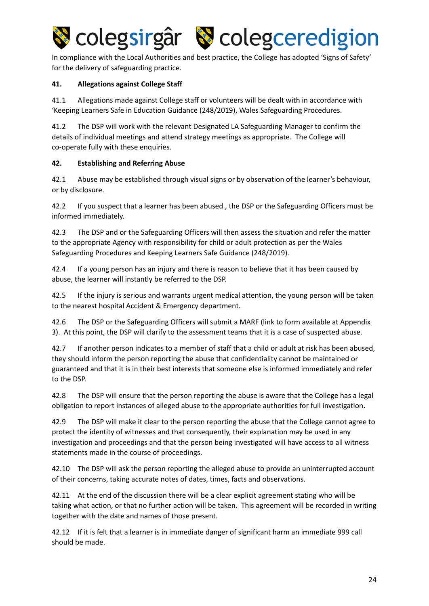

In compliance with the Local Authorities and best practice, the College has adopted 'Signs of Safety' for the delivery of safeguarding practice.

#### **41. Allegations against College Staff**

41.1 Allegations made against College staff or volunteers will be dealt with in accordance with 'Keeping Learners Safe in Education Guidance (248/2019), Wales Safeguarding Procedures.

41.2 The DSP will work with the relevant Designated LA Safeguarding Manager to confirm the details of individual meetings and attend strategy meetings as appropriate. The College will co-operate fully with these enquiries.

#### **42. Establishing and Referring Abuse**

42.1 Abuse may be established through visual signs or by observation of the learner's behaviour, or by disclosure.

42.2 If you suspect that a learner has been abused, the DSP or the Safeguarding Officers must be informed immediately.

42.3 The DSP and or the Safeguarding Officers will then assess the situation and refer the matter to the appropriate Agency with responsibility for child or adult protection as per the Wales Safeguarding Procedures and Keeping Learners Safe Guidance (248/2019).

42.4 If a young person has an injury and there is reason to believe that it has been caused by abuse, the learner will instantly be referred to the DSP.

42.5 If the injury is serious and warrants urgent medical attention, the young person will be taken to the nearest hospital Accident & Emergency department.

42.6 The DSP or the Safeguarding Officers will submit a MARF (link to form available at Appendix 3). At this point, the DSP will clarify to the assessment teams that it is a case of suspected abuse.

42.7 If another person indicates to a member of staff that a child or adult at risk has been abused, they should inform the person reporting the abuse that confidentiality cannot be maintained or guaranteed and that it is in their best interests that someone else is informed immediately and refer to the DSP.

42.8 The DSP will ensure that the person reporting the abuse is aware that the College has a legal obligation to report instances of alleged abuse to the appropriate authorities for full investigation.

42.9 The DSP will make it clear to the person reporting the abuse that the College cannot agree to protect the identity of witnesses and that consequently, their explanation may be used in any investigation and proceedings and that the person being investigated will have access to all witness statements made in the course of proceedings.

42.10 The DSP will ask the person reporting the alleged abuse to provide an uninterrupted account of their concerns, taking accurate notes of dates, times, facts and observations.

42.11 At the end of the discussion there will be a clear explicit agreement stating who will be taking what action, or that no further action will be taken. This agreement will be recorded in writing together with the date and names of those present.

42.12 If it is felt that a learner is in immediate danger of significant harm an immediate 999 call should be made.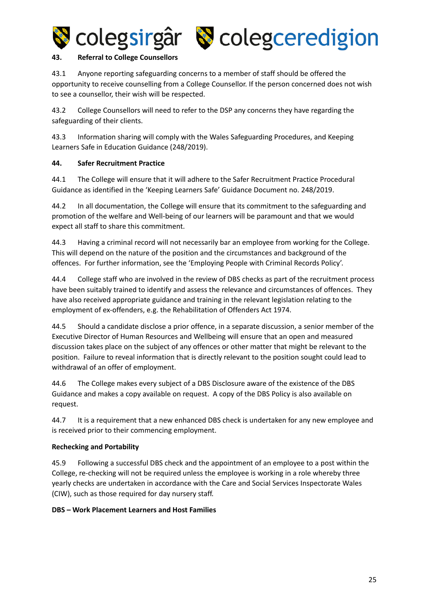



#### **43. Referral to College Counsellors**

43.1 Anyone reporting safeguarding concerns to a member of staff should be offered the opportunity to receive counselling from a College Counsellor. If the person concerned does not wish to see a counsellor, their wish will be respected.

43.2 College Counsellors will need to refer to the DSP any concerns they have regarding the safeguarding of their clients.

43.3 Information sharing will comply with the Wales Safeguarding Procedures, and Keeping Learners Safe in Education Guidance (248/2019).

#### **44. Safer Recruitment Practice**

44.1 The College will ensure that it will adhere to the Safer Recruitment Practice Procedural Guidance as identified in the 'Keeping Learners Safe' Guidance Document no. 248/2019.

44.2 In all documentation, the College will ensure that its commitment to the safeguarding and promotion of the welfare and Well-being of our learners will be paramount and that we would expect all staff to share this commitment.

44.3 Having a criminal record will not necessarily bar an employee from working for the College. This will depend on the nature of the position and the circumstances and background of the offences. For further information, see the 'Employing People with Criminal Records Policy'.

44.4 College staff who are involved in the review of DBS checks as part of the recruitment process have been suitably trained to identify and assess the relevance and circumstances of offences. They have also received appropriate guidance and training in the relevant legislation relating to the employment of ex-offenders, e.g. the Rehabilitation of Offenders Act 1974.

44.5 Should a candidate disclose a prior offence, in a separate discussion, a senior member of the Executive Director of Human Resources and Wellbeing will ensure that an open and measured discussion takes place on the subject of any offences or other matter that might be relevant to the position. Failure to reveal information that is directly relevant to the position sought could lead to withdrawal of an offer of employment.

44.6 The College makes every subject of a DBS Disclosure aware of the existence of the DBS Guidance and makes a copy available on request. A copy of the DBS Policy is also available on request.

44.7 It is a requirement that a new enhanced DBS check is undertaken for any new employee and is received prior to their commencing employment.

#### **Rechecking and Portability**

45.9 Following a successful DBS check and the appointment of an employee to a post within the College, re-checking will not be required unless the employee is working in a role whereby three yearly checks are undertaken in accordance with the Care and Social Services Inspectorate Wales (CIW), such as those required for day nursery staff.

#### **DBS – Work Placement Learners and Host Families**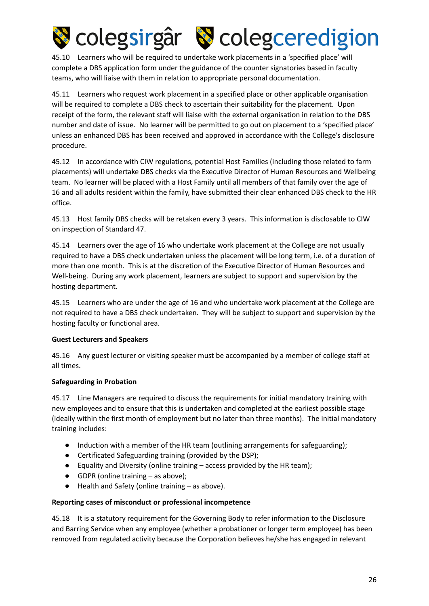

45.10 Learners who will be required to undertake work placements in a 'specified place' will complete a DBS application form under the guidance of the counter signatories based in faculty teams, who will liaise with them in relation to appropriate personal documentation.

45.11 Learners who request work placement in a specified place or other applicable organisation will be required to complete a DBS check to ascertain their suitability for the placement. Upon receipt of the form, the relevant staff will liaise with the external organisation in relation to the DBS number and date of issue. No learner will be permitted to go out on placement to a 'specified place' unless an enhanced DBS has been received and approved in accordance with the College's disclosure procedure.

45.12 In accordance with CIW regulations, potential Host Families (including those related to farm placements) will undertake DBS checks via the Executive Director of Human Resources and Wellbeing team. No learner will be placed with a Host Family until all members of that family over the age of 16 and all adults resident within the family, have submitted their clear enhanced DBS check to the HR office.

45.13 Host family DBS checks will be retaken every 3 years. This information is disclosable to CIW on inspection of Standard 47.

45.14 Learners over the age of 16 who undertake work placement at the College are not usually required to have a DBS check undertaken unless the placement will be long term, i.e. of a duration of more than one month. This is at the discretion of the Executive Director of Human Resources and Well-being. During any work placement, learners are subject to support and supervision by the hosting department.

45.15 Learners who are under the age of 16 and who undertake work placement at the College are not required to have a DBS check undertaken. They will be subject to support and supervision by the hosting faculty or functional area.

#### **Guest Lecturers and Speakers**

45.16 Any guest lecturer or visiting speaker must be accompanied by a member of college staff at all times.

#### **Safeguarding in Probation**

45.17 Line Managers are required to discuss the requirements for initial mandatory training with new employees and to ensure that this is undertaken and completed at the earliest possible stage (ideally within the first month of employment but no later than three months). The initial mandatory training includes:

- Induction with a member of the HR team (outlining arrangements for safeguarding);
- Certificated Safeguarding training (provided by the DSP);
- Equality and Diversity (online training access provided by the HR team);
- GDPR (online training as above);
- Health and Safety (online training as above).

#### **Reporting cases of misconduct or professional incompetence**

45.18 It is a statutory requirement for the Governing Body to refer information to the Disclosure and Barring Service when any employee (whether a probationer or longer term employee) has been removed from regulated activity because the Corporation believes he/she has engaged in relevant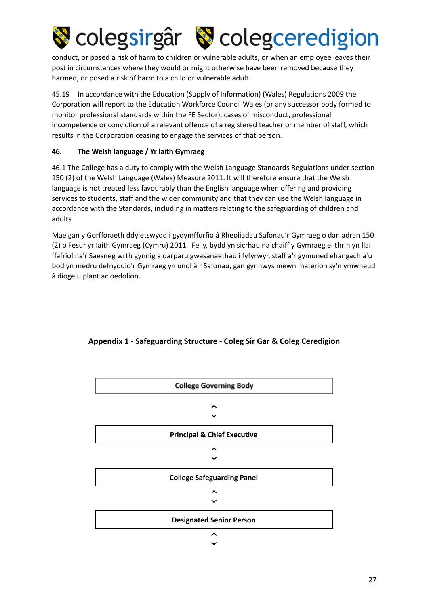

conduct, or posed a risk of harm to children or vulnerable adults, or when an employee leaves their post in circumstances where they would or might otherwise have been removed because they harmed, or posed a risk of harm to a child or vulnerable adult.

45.19 In accordance with the Education (Supply of Information) (Wales) Regulations 2009 the Corporation will report to the Education Workforce Council Wales (or any successor body formed to monitor professional standards within the FE Sector), cases of misconduct, professional incompetence or conviction of a relevant offence of a registered teacher or member of staff, which results in the Corporation ceasing to engage the services of that person.

#### **46. The Welsh language / Yr laith Gymraeg**

46.1 The College has a duty to comply with the Welsh Language Standards Regulations under section 150 (2) of the Welsh Language (Wales) Measure 2011. It will therefore ensure that the Welsh language is not treated less favourably than the English language when offering and providing services to students, staff and the wider community and that they can use the Welsh language in accordance with the Standards, including in matters relating to the safeguarding of children and adults

Mae gan y Gorfforaeth ddyletswydd i gydymffurfio â Rheoliadau Safonau'r Gymraeg o dan adran 150 (2) o Fesur yr Iaith Gymraeg (Cymru) 2011. Felly, bydd yn sicrhau na chaiff y Gymraeg ei thrin yn llai ffafriol na'r Saesneg wrth gynnig a darparu gwasanaethau i fyfyrwyr, staff a'r gymuned ehangach a'u bod yn medru defnyddio'r Gymraeg yn unol â'r Safonau, gan gynnwys mewn materion sy'n ymwneud â diogelu plant ac oedolion.



#### **Appendix 1 - Safeguarding Structure - Coleg Sir Gar & Coleg Ceredigion**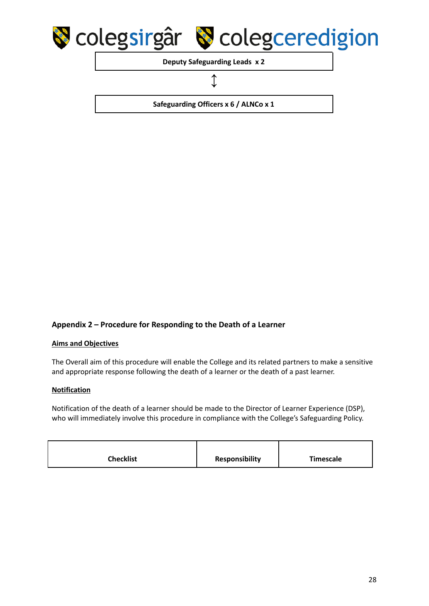

**Deputy Safeguarding Leads x 2**

#### **↕**

**Safeguarding Officers x 6 / ALNCo x 1**

#### **Appendix 2 – Procedure for Responding to the Death of a Learner**

#### **Aims and Objectives**

The Overall aim of this procedure will enable the College and its related partners to make a sensitive and appropriate response following the death of a learner or the death of a past learner.

#### **Notification**

Notification of the death of a learner should be made to the Director of Learner Experience (DSP), who will immediately involve this procedure in compliance with the College's Safeguarding Policy.

| <b>Checklist</b> | <b>Responsibility</b> | Timescale |
|------------------|-----------------------|-----------|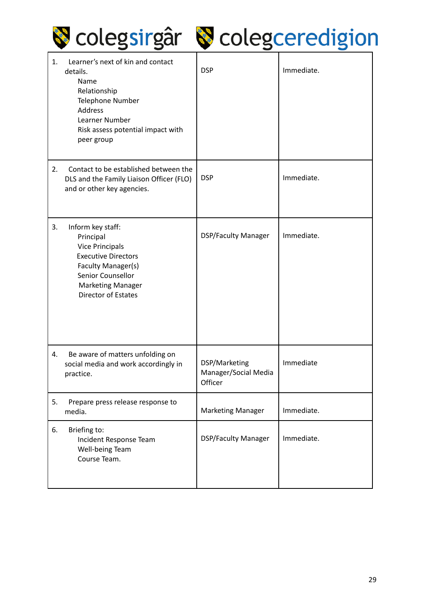

# Scolegsirgâr Scolegceredigion

| 1. | Learner's next of kin and contact<br>details.<br>Name<br>Relationship<br>Telephone Number<br>Address<br>Learner Number<br>Risk assess potential impact with<br>peer group                   | <b>DSP</b>                                       | Immediate. |
|----|---------------------------------------------------------------------------------------------------------------------------------------------------------------------------------------------|--------------------------------------------------|------------|
| 2. | Contact to be established between the<br>DLS and the Family Liaison Officer (FLO)<br>and or other key agencies.                                                                             | <b>DSP</b>                                       | Immediate. |
| 3. | Inform key staff:<br>Principal<br><b>Vice Principals</b><br><b>Executive Directors</b><br>Faculty Manager(s)<br>Senior Counsellor<br><b>Marketing Manager</b><br><b>Director of Estates</b> | <b>DSP/Faculty Manager</b>                       | Immediate. |
| 4. | Be aware of matters unfolding on<br>social media and work accordingly in<br>practice.                                                                                                       | DSP/Marketing<br>Manager/Social Media<br>Officer | Immediate  |
| 5. | Prepare press release response to<br>media.                                                                                                                                                 | <b>Marketing Manager</b>                         | Immediate. |
| 6. | Briefing to:<br>Incident Response Team<br>Well-being Team<br>Course Team.                                                                                                                   | <b>DSP/Faculty Manager</b>                       | Immediate. |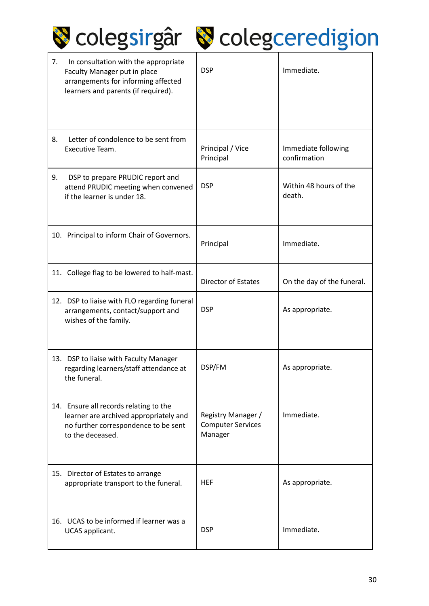|  | Colegsirgâr & colegceredigion |  |  |  |
|--|-------------------------------|--|--|--|
|--|-------------------------------|--|--|--|

| 7. | In consultation with the appropriate<br>Faculty Manager put in place<br>arrangements for informing affected<br>learners and parents (if required). | <b>DSP</b>                                                | Immediate.                          |
|----|----------------------------------------------------------------------------------------------------------------------------------------------------|-----------------------------------------------------------|-------------------------------------|
| 8. | Letter of condolence to be sent from<br>Executive Team.                                                                                            | Principal / Vice<br>Principal                             | Immediate following<br>confirmation |
| 9. | DSP to prepare PRUDIC report and<br>attend PRUDIC meeting when convened<br>if the learner is under 18.                                             | <b>DSP</b>                                                | Within 48 hours of the<br>death.    |
|    | 10. Principal to inform Chair of Governors.                                                                                                        | Principal                                                 | Immediate.                          |
|    | 11. College flag to be lowered to half-mast.                                                                                                       | Director of Estates                                       | On the day of the funeral.          |
|    | 12. DSP to liaise with FLO regarding funeral<br>arrangements, contact/support and<br>wishes of the family.                                         | <b>DSP</b>                                                | As appropriate.                     |
|    | 13. DSP to liaise with Faculty Manager<br>regarding learners/staff attendance at<br>the funeral.                                                   | DSP/FM                                                    | As appropriate.                     |
|    | 14. Ensure all records relating to the<br>learner are archived appropriately and<br>no further correspondence to be sent<br>to the deceased.       | Registry Manager /<br><b>Computer Services</b><br>Manager | Immediate.                          |
|    | 15. Director of Estates to arrange<br>appropriate transport to the funeral.                                                                        | <b>HEF</b>                                                | As appropriate.                     |
|    | 16. UCAS to be informed if learner was a<br>UCAS applicant.                                                                                        | <b>DSP</b>                                                | Immediate.                          |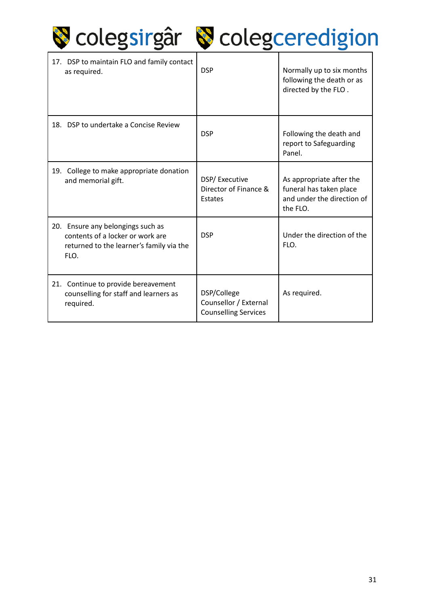

# Scolegsirgâr Scolegceredigion

| 17. DSP to maintain FLO and family contact<br>as required.                                                                | <b>DSP</b>                                                          | Normally up to six months<br>following the death or as<br>directed by the FLO.                |
|---------------------------------------------------------------------------------------------------------------------------|---------------------------------------------------------------------|-----------------------------------------------------------------------------------------------|
| 18. DSP to undertake a Concise Review                                                                                     | <b>DSP</b>                                                          | Following the death and<br>report to Safeguarding<br>Panel.                                   |
| College to make appropriate donation<br>19.<br>and memorial gift.                                                         | DSP/Executive<br>Director of Finance &<br>Estates                   | As appropriate after the<br>funeral has taken place<br>and under the direction of<br>the FLO. |
| 20. Ensure any belongings such as<br>contents of a locker or work are<br>returned to the learner's family via the<br>FLO. | <b>DSP</b>                                                          | Under the direction of the<br>FLO.                                                            |
| 21. Continue to provide bereavement<br>counselling for staff and learners as<br>required.                                 | DSP/College<br>Counsellor / External<br><b>Counselling Services</b> | As required.                                                                                  |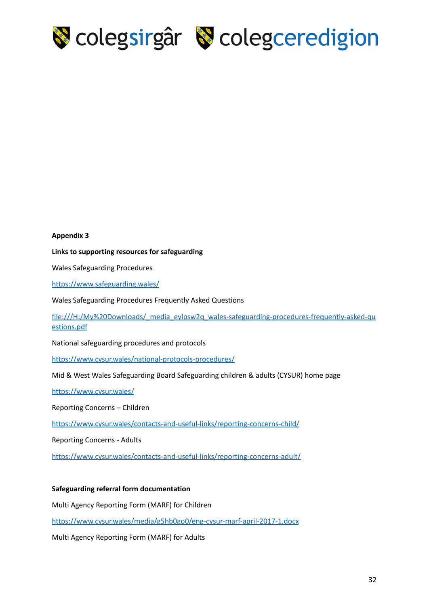

#### **Appendix 3**

**Links to supporting resources for safeguarding**

Wales Safeguarding Procedures

<https://www.safeguarding.wales/>

Wales Safeguarding Procedures Frequently Asked Questions

file:///H:/My%20Downloads/\_media\_eylpsw2q\_wales-safeguarding-procedures-frequently-asked-qu estions.pdf

National safeguarding procedures and protocols

<https://www.cysur.wales/national-protocols-procedures/>

Mid & West Wales Safeguarding Board Safeguarding children & adults (CYSUR) home page

<https://www.cysur.wales/>

Reporting Concerns – Children

<https://www.cysur.wales/contacts-and-useful-links/reporting-concerns-child/>

Reporting Concerns - Adults

<https://www.cysur.wales/contacts-and-useful-links/reporting-concerns-adult/>

#### **Safeguarding referral form documentation**

Multi Agency Reporting Form (MARF) for Children

<https://www.cysur.wales/media/g5hb0go0/eng-cysur-marf-april-2017-1.docx>

Multi Agency Reporting Form (MARF) for Adults